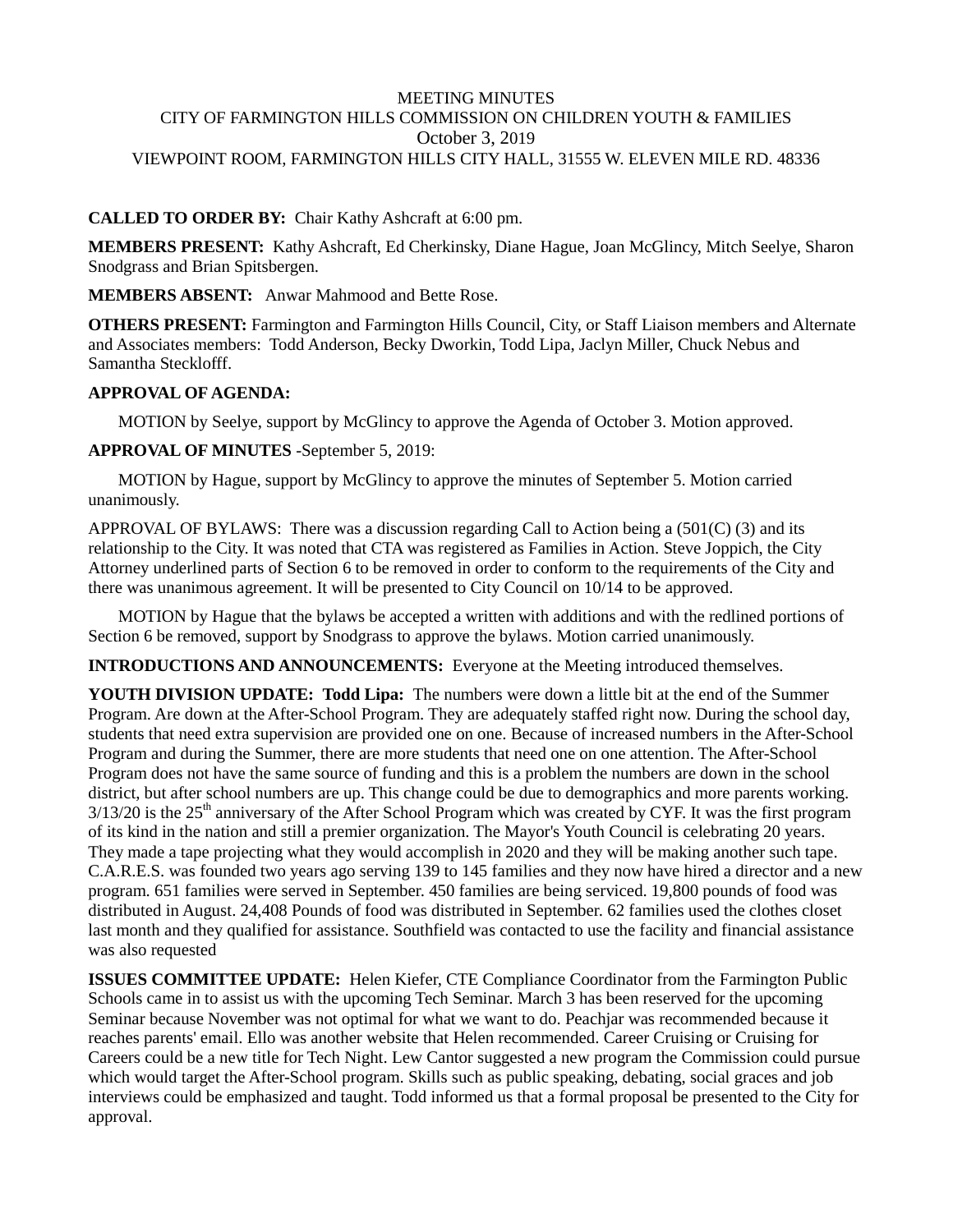### MEETING MINUTES CITY OF FARMINGTON HILLS COMMISSION ON CHILDREN YOUTH & FAMILIES October 3, 2019 VIEWPOINT ROOM, FARMINGTON HILLS CITY HALL, 31555 W. ELEVEN MILE RD. 48336

## **CALLED TO ORDER BY:** Chair Kathy Ashcraft at 6:00 pm.

**MEMBERS PRESENT:** Kathy Ashcraft, Ed Cherkinsky, Diane Hague, Joan McGlincy, Mitch Seelye, Sharon Snodgrass and Brian Spitsbergen.

**MEMBERS ABSENT:** Anwar Mahmood and Bette Rose.

**OTHERS PRESENT:** Farmington and Farmington Hills Council, City, or Staff Liaison members and Alternate and Associates members: Todd Anderson, Becky Dworkin, Todd Lipa, Jaclyn Miller, Chuck Nebus and Samantha Stecklofff.

#### **APPROVAL OF AGENDA:**

MOTION by Seelye, support by McGlincy to approve the Agenda of October 3. Motion approved.

#### **APPROVAL OF MINUTES** -September 5, 2019:

 MOTION by Hague, support by McGlincy to approve the minutes of September 5. Motion carried unanimously.

APPROVAL OF BYLAWS: There was a discussion regarding Call to Action being a  $(501)$  (3) and its relationship to the City. It was noted that CTA was registered as Families in Action. Steve Joppich, the City Attorney underlined parts of Section 6 to be removed in order to conform to the requirements of the City and there was unanimous agreement. It will be presented to City Council on 10/14 to be approved.

 MOTION by Hague that the bylaws be accepted a written with additions and with the redlined portions of Section 6 be removed, support by Snodgrass to approve the bylaws. Motion carried unanimously.

**INTRODUCTIONS AND ANNOUNCEMENTS:** Everyone at the Meeting introduced themselves.

**YOUTH DIVISION UPDATE: Todd Lipa:** The numbers were down a little bit at the end of the Summer Program. Are down at the After-School Program. They are adequately staffed right now. During the school day, students that need extra supervision are provided one on one. Because of increased numbers in the After-School Program and during the Summer, there are more students that need one on one attention. The After-School Program does not have the same source of funding and this is a problem the numbers are down in the school district, but after school numbers are up. This change could be due to demographics and more parents working.  $3/13/20$  is the  $25<sup>th</sup>$  anniversary of the After School Program which was created by CYF. It was the first program of its kind in the nation and still a premier organization. The Mayor's Youth Council is celebrating 20 years. They made a tape projecting what they would accomplish in 2020 and they will be making another such tape. C.A.R.E.S. was founded two years ago serving 139 to 145 families and they now have hired a director and a new program. 651 families were served in September. 450 families are being serviced. 19,800 pounds of food was distributed in August. 24,408 Pounds of food was distributed in September. 62 families used the clothes closet last month and they qualified for assistance. Southfield was contacted to use the facility and financial assistance was also requested

**ISSUES COMMITTEE UPDATE:** Helen Kiefer, CTE Compliance Coordinator from the Farmington Public Schools came in to assist us with the upcoming Tech Seminar. March 3 has been reserved for the upcoming Seminar because November was not optimal for what we want to do. Peachjar was recommended because it reaches parents' email. Ello was another website that Helen recommended. Career Cruising or Cruising for Careers could be a new title for Tech Night. Lew Cantor suggested a new program the Commission could pursue which would target the After-School program. Skills such as public speaking, debating, social graces and job interviews could be emphasized and taught. Todd informed us that a formal proposal be presented to the City for approval.